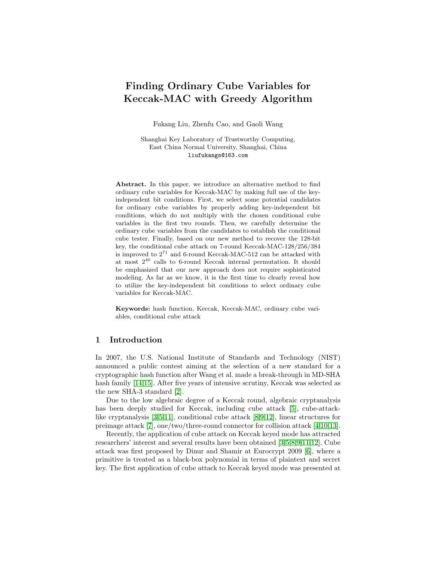# Finding Ordinary Cube Variables for Keccak-MAC with Greedy Algorithm

Fukang Liu, Zhenfu Cao, and Gaoli Wang

Shanghai Key Laboratory of Trustworthy Computing, East China Normal University, Shanghai, China liufukangs@163.com

Abstract. In this paper, we introduce an alternative method to find ordinary cube variables for Keccak-MAC by making full use of the keyindependent bit conditions. First, we select some potential candidates for ordinary cube variables by properly adding key-independent bit conditions, which do not multiply with the chosen conditional cube variables in the first two rounds. Then, we carefully determine the ordinary cube variables from the candidates to establish the conditional cube tester. Finally, based on our new method to recover the 128-bit key, the conditional cube attack on 7-round Keccak-MAC-128/256/384 is improved to  $2^{71}$  and 6-round Keccak-MAC-512 can be attacked with at most 2<sup>40</sup> calls to 6-round Keccak internal permutation. It should be emphasized that our new approach does not require sophisticated modeling. As far as we know, it is the first time to clearly reveal how to utilize the key-independent bit conditions to select ordinary cube variables for Keccak-MAC.

Keywords: hash function, Keccak, Keccak-MAC, ordinary cube variables, conditional cube attack

## 1 Introduction

In 2007, the U.S. National Institute of Standards and Technology (NIST) announced a public contest aiming at the selection of a new standard for a cryptographic hash function after Wang et al. made a break-through in MD-SHA hash family [\[14](#page-18-0)[,15\]](#page-18-1). After five years of intensive scrutiny, Keccak was selected as the new SHA-3 standard [\[2\]](#page-17-0).

Due to the low algebraic degree of a Keccak round, algebraic cryptanalysis has been deeply studied for Keccak, including cube attack [\[5\]](#page-17-1), cube-attacklike cryptanalysis [\[3,](#page-17-2)[5](#page-17-1)[,11\]](#page-18-2), conditional cube attack [\[8,](#page-18-3)[9,](#page-18-4)[12\]](#page-18-5), linear structures for preimage attack [\[7\]](#page-18-6), one/two/three-round connector for collision attack [\[4,](#page-17-3)[10,](#page-18-7)[13\]](#page-18-8).

Recently, the application of cube attack on Keccak keyed mode has attracted researchers' interest and several results have been obtained [\[3,](#page-17-2)[5,](#page-17-1)[8,](#page-18-3)[9,](#page-18-4)[11,](#page-18-2)[12\]](#page-18-5). Cube attack was first proposed by Dinur and Shamir at Eurocrypt 2009 [\[6\]](#page-18-9), where a primitive is treated as a black-box polynomial in terms of plaintext and secret key. The first application of cube attack to Keccak keyed mode was presented at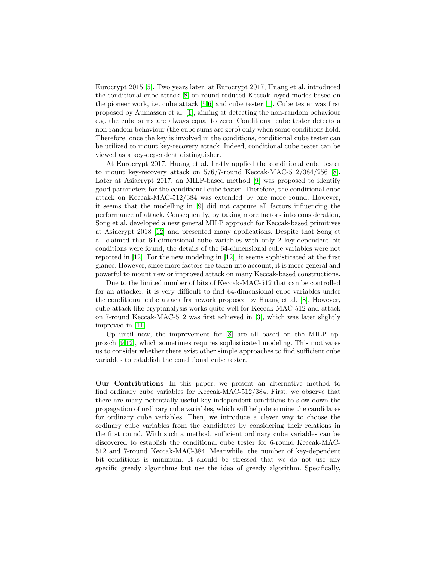Eurocrypt 2015 [\[5\]](#page-17-1). Two years later, at Eurocrypt 2017, Huang et al. introduced the conditional cube attack [\[8\]](#page-18-3) on round-reduced Keccak keyed modes based on the pioneer work, i.e. cube attack [\[5,](#page-17-1)[6\]](#page-18-9) and cube tester [\[1\]](#page-17-4). Cube tester was first proposed by Aumasson et al. [\[1\]](#page-17-4), aiming at detecting the non-random behaviour e.g. the cube sums are always equal to zero. Conditional cube tester detects a non-random behaviour (the cube sums are zero) only when some conditions hold. Therefore, once the key is involved in the conditions, conditional cube tester can be utilized to mount key-recovery attack. Indeed, conditional cube tester can be viewed as a key-dependent distinguisher.

At Eurocrypt 2017, Huang et al. firstly applied the conditional cube tester to mount key-recovery attack on 5/6/7-round Keccak-MAC-512/384/256 [\[8\]](#page-18-3). Later at Asiacrypt 2017, an MILP-based method [\[9\]](#page-18-4) was proposed to identify good parameters for the conditional cube tester. Therefore, the conditional cube attack on Keccak-MAC-512/384 was extended by one more round. However, it seems that the modelling in [\[9\]](#page-18-4) did not capture all factors influencing the performance of attack. Consequently, by taking more factors into consideration, Song et al. developed a new general MILP approach for Keccak-based primitives at Asiacrypt 2018 [\[12\]](#page-18-5) and presented many applications. Despite that Song et al. claimed that 64-dimensional cube variables with only 2 key-dependent bit conditions were found, the details of the 64-dimensional cube variables were not reported in [\[12\]](#page-18-5). For the new modeling in [\[12\]](#page-18-5), it seems sophisticated at the first glance. However, since more factors are taken into account, it is more general and powerful to mount new or improved attack on many Keccak-based constructions.

Due to the limited number of bits of Keccak-MAC-512 that can be controlled for an attacker, it is very difficult to find 64-dimensional cube variables under the conditional cube attack framework proposed by Huang et al. [\[8\]](#page-18-3). However, cube-attack-like cryptanalysis works quite well for Keccak-MAC-512 and attack on 7-round Keccak-MAC-512 was first achieved in [\[3\]](#page-17-2), which was later slightly improved in [\[11\]](#page-18-2).

Up until now, the improvement for [\[8\]](#page-18-3) are all based on the MILP approach [\[9,](#page-18-4)[12\]](#page-18-5), which sometimes requires sophisticated modeling. This motivates us to consider whether there exist other simple approaches to find sufficient cube variables to establish the conditional cube tester.

Our Contributions In this paper, we present an alternative method to find ordinary cube variables for Keccak-MAC-512/384. First, we observe that there are many potentially useful key-independent conditions to slow down the propagation of ordinary cube variables, which will help determine the candidates for ordinary cube variables. Then, we introduce a clever way to choose the ordinary cube variables from the candidates by considering their relations in the first round. With such a method, sufficient ordinary cube variables can be discovered to establish the conditional cube tester for 6-round Keccak-MAC-512 and 7-round Keccak-MAC-384. Meanwhile, the number of key-dependent bit conditions is minimum. It should be stressed that we do not use any specific greedy algorithms but use the idea of greedy algorithm. Specifically,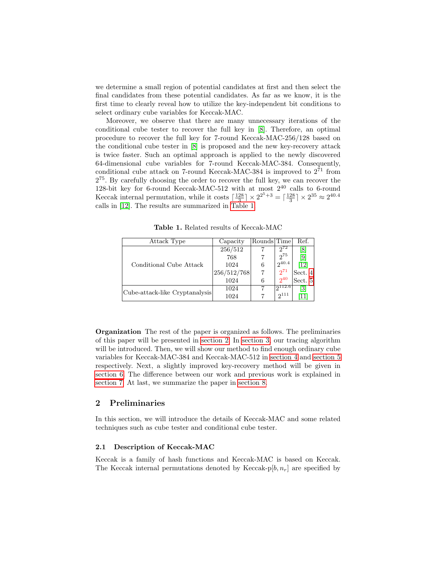we determine a small region of potential candidates at first and then select the final candidates from these potential candidates. As far as we know, it is the first time to clearly reveal how to utilize the key-independent bit conditions to select ordinary cube variables for Keccak-MAC.

Moreover, we observe that there are many unnecessary iterations of the conditional cube tester to recover the full key in [\[8\]](#page-18-3). Therefore, an optimal procedure to recover the full key for 7-round Keccak-MAC-256/128 based on the conditional cube tester in [\[8\]](#page-18-3) is proposed and the new key-recovery attack is twice faster. Such an optimal approach is applied to the newly discovered 64-dimensional cube variables for 7-round Keccak-MAC-384. Consequently, conditional cube attack on 7-round Keccak-MAC-384 is improved to  $2^{71}$  from 2 <sup>75</sup>. By carefully choosing the order to recover the full key, we can recover the 128-bit key for 6-round Keccak-MAC-512 with at most  $2^{40}$  calls to 6-round Keccak internal permutation, while it costs  $\lceil \frac{128}{3} \rceil \times 2^{2^5+3} = \lceil \frac{128}{3} \rceil \times 2^{35} \approx 2^{40.4}$ calls in [\[12\]](#page-18-5). The results are summarized in [Table 1.](#page-2-0)

<span id="page-2-0"></span>

| Attack Type                    | Capacity    | Rounds Time |                  | Ref.              |
|--------------------------------|-------------|-------------|------------------|-------------------|
|                                | 256/512     |             | $2^{72}$         | $\lvert 8 \rvert$ |
|                                | 768         |             | $2^{75}$         | [9]               |
| Conditional Cube Attack        | 1024        | 6           | $2^{40.4}$       | [12]              |
|                                | 256/512/768 |             | $2^{71}$         | Sect. 4           |
|                                | 1024        | 6           | $2^{40}$         | Sect. 5           |
| Cube-attack-like Cryptanalysis | 1024        |             | $\Omega_{112.6}$ | $\lceil 3 \rceil$ |
|                                | 1024        |             | $2^{111}$        |                   |
|                                |             |             |                  |                   |

Table 1. Related results of Keccak-MAC

Organization The rest of the paper is organized as follows. The preliminaries of this paper will be presented in [section 2.](#page-2-1) In [section 3,](#page-6-0) our tracing algorithm will be introduced. Then, we will show our method to find enough ordinary cube variables for Keccak-MAC-384 and Keccak-MAC-512 in [section 4](#page-8-0) and [section 5](#page-12-0) respectively. Next, a slightly improved key-recovery method will be given in [section 6.](#page-15-0) The difference between our work and previous work is explained in [section 7.](#page-16-0) At last, we summarize the paper in [section 8.](#page-17-5)

## <span id="page-2-1"></span>2 Preliminaries

In this section, we will introduce the details of Keccak-MAC and some related techniques such as cube tester and conditional cube tester.

#### 2.1 Description of Keccak-MAC

Keccak is a family of hash functions and Keccak-MAC is based on Keccak. The Keccak internal permutations denoted by Keccak-p[b,  $n_r$ ] are specified by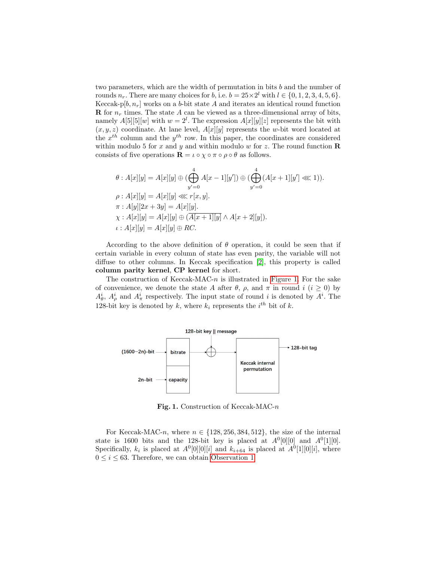two parameters, which are the width of permutation in bits b and the number of rounds  $n_r$ . There are many choices for b, i.e.  $b = 25 \times 2^l$  with  $l \in \{0, 1, 2, 3, 4, 5, 6\}$ . Keccak-p[ $b, n_r$ ] works on a b-bit state A and iterates an identical round function **R** for  $n_r$  times. The state A can be viewed as a three-dimensional array of bits, namely  $A[5][5][w]$  with  $w=2^l$ . The expression  $A[x][y][z]$  represents the bit with  $(x, y, z)$  coordinate. At lane level,  $A[x][y]$  represents the w-bit word located at the  $x^{th}$  column and the  $y^{th}$  row. In this paper, the coordinates are considered within modulo 5 for x and y and within modulo w for z. The round function  $\bf R$ consists of five operations  $\mathbf{R} = \iota \circ \chi \circ \pi \circ \rho \circ \theta$  as follows.

$$
\theta : A[x][y] = A[x][y] \oplus (\bigoplus_{y'=0}^{4} A[x-1][y']) \oplus (\bigoplus_{y'=0}^{4} (A[x+1][y'] \lll 1)).
$$
  
\n
$$
\rho : A[x][y] = A[x][y] \lll r[x, y].
$$
  
\n
$$
\pi : A[y][2x + 3y] = A[x][y].
$$
  
\n
$$
\chi : A[x][y] = A[x][y] \oplus (\overline{A[x+1][y]} \wedge A[x+2][y]).
$$
  
\n
$$
\iota : A[x][y] = A[x][y] \oplus RC.
$$

According to the above definition of  $\theta$  operation, it could be seen that if certain variable in every column of state has even parity, the variable will not diffuse to other columns. In Keccak specification [\[2\]](#page-17-0), this property is called column parity kernel, CP kernel for short.

The construction of Keccak-MAC- $n$  is illustrated in [Figure 1.](#page-3-0) For the sake of convenience, we denote the state A after  $\theta$ ,  $\rho$ , and  $\pi$  in round  $i$  ( $i \geq 0$ ) by  $A^i_{\theta}$ ,  $A^i_{\rho}$  and  $A^i_{\pi}$  respectively. The input state of round i is denoted by  $A^i$ . The 128-bit key is denoted by k, where  $k_i$  represents the  $i^{th}$  bit of k.



Fig. 1. Construction of Keccak-MAC-n

<span id="page-3-1"></span><span id="page-3-0"></span>For Keccak-MAC-n, where  $n \in \{128, 256, 384, 512\}$ , the size of the internal state is 1600 bits and the 128-bit key is placed at  $A^0[0][0]$  and  $A^0[1][0]$ . Specifically,  $k_i$  is placed at  $A^0[0][0][i]$  and  $k_{i+64}$  is placed at  $A^0[1][0][i]$ , where  $0 \leq i \leq 63$ . Therefore, we can obtain [Observation 1.](#page-3-1)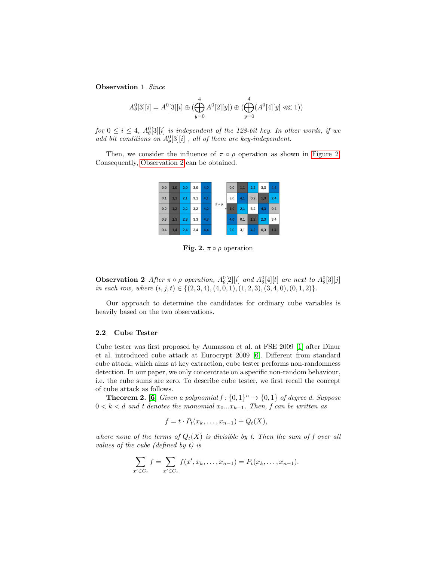Observation 1 Since

$$
A^0_{\theta}[3][i] = A^0[3][i] \oplus (\bigoplus_{y=0}^4 A^0[2][y]) \oplus (\bigoplus_{y=0}^4 (A^0[4][y] \lll 1))
$$

for  $0 \leq i \leq 4$ ,  $A_{\theta}^{0}[3][i]$  is independent of the 128-bit key. In other words, if we add bit conditions on  $A_{\theta}^{0}[3][i]$ , all of them are key-independent.

Then, we consider the influence of  $\pi \circ \rho$  operation as shown in [Figure 2.](#page-4-0) Consequently, [Observation 2](#page-4-1) can be obtained.



Fig. 2.  $\pi \circ \rho$  operation

<span id="page-4-1"></span><span id="page-4-0"></span>**Observation 2** After  $\pi \circ \rho$  operation,  $A_{\theta}^{0}[2][i]$  and  $A_{\theta}^{0}[4][t]$  are next to  $A_{\theta}^{0}[3][j]$ in each row, where  $(i, j, t) \in \{(2, 3, 4), (4, 0, 1), (1, 2, 3), (3, 4, 0), (0, 1, 2)\}.$ 

Our approach to determine the candidates for ordinary cube variables is heavily based on the two observations.

#### 2.2 Cube Tester

Cube tester was first proposed by Aumasson et al. at FSE 2009 [\[1\]](#page-17-4) after Dinur et al. introduced cube attack at Eurocrypt 2009 [\[6\]](#page-18-9). Different from standard cube attack, which aims at key extraction, cube tester performs non-randomness detection. In our paper, we only concentrate on a specific non-random behaviour, i.e. the cube sums are zero. To describe cube tester, we first recall the concept of cube attack as follows.

**Theorem 2.** [\[6\]](#page-18-9) Given a polynomial  $f: \{0,1\}^n \to \{0,1\}$  of degree d. Suppose  $0 < k < d$  and t denotes the monomial  $x_0...x_{k-1}$ . Then, f can be written as

$$
f = t \cdot P_t(x_k, \ldots, x_{n-1}) + Q_t(X),
$$

where none of the terms of  $Q_t(X)$  is divisible by t. Then the sum of f over all values of the cube (defined by t) is

$$
\sum_{x' \in C_t} f = \sum_{x' \in C_t} f(x', x_k, \dots, x_{n-1}) = P_t(x_k, \dots, x_{n-1}).
$$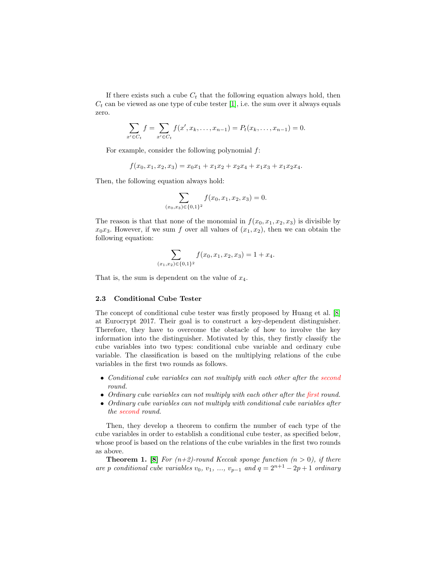If there exists such a cube  $C_t$  that the following equation always hold, then  $C_t$  can be viewed as one type of cube tester [\[1\]](#page-17-4), i.e. the sum over it always equals zero.

$$
\sum_{x' \in C_t} f = \sum_{x' \in C_t} f(x', x_k, \dots, x_{n-1}) = P_t(x_k, \dots, x_{n-1}) = 0.
$$

For example, consider the following polynomial  $f$ :

$$
f(x_0, x_1, x_2, x_3) = x_0 x_1 + x_1 x_2 + x_2 x_4 + x_1 x_3 + x_1 x_2 x_4.
$$

Then, the following equation always hold:

$$
\sum_{(x_0,x_3)\in\{0,1\}^2} f(x_0,x_1,x_2,x_3) = 0.
$$

The reason is that that none of the monomial in  $f(x_0, x_1, x_2, x_3)$  is divisible by  $x_0x_3$ . However, if we sum f over all values of  $(x_1, x_2)$ , then we can obtain the following equation:

$$
\sum_{(x_1,x_2)\in\{0,1\}^2} f(x_0,x_1,x_2,x_3) = 1 + x_4.
$$

That is, the sum is dependent on the value of  $x_4$ .

## 2.3 Conditional Cube Tester

The concept of conditional cube tester was firstly proposed by Huang et al. [\[8\]](#page-18-3) at Eurocrypt 2017. Their goal is to construct a key-dependent distinguisher. Therefore, they have to overcome the obstacle of how to involve the key information into the distinguisher. Motivated by this, they firstly classify the cube variables into two types: conditional cube variable and ordinary cube variable. The classification is based on the multiplying relations of the cube variables in the first two rounds as follows.

- Conditional cube variables can not multiply with each other after the second round.
- Ordinary cube variables can not multiply with each other after the first round.
- Ordinary cube variables can not multiply with conditional cube variables after the second round.

Then, they develop a theorem to confirm the number of each type of the cube variables in order to establish a conditional cube tester, as specified below, whose proof is based on the relations of the cube variables in the first two rounds as above.

**Theorem 1.** [\[8\]](#page-18-3) For  $(n+2)$ -round Keccak sponge function  $(n > 0)$ , if there are p conditional cube variables  $v_0, v_1, ..., v_{p-1}$  and  $q = 2^{n+1} - 2p + 1$  ordinary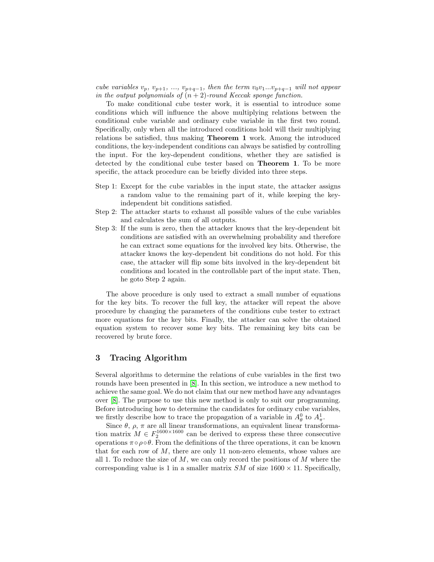cube variables  $v_p$ ,  $v_{p+1}$ , ...,  $v_{p+q-1}$ , then the term  $v_0v_1...v_{p+q-1}$  will not appear in the output polynomials of  $(n + 2)$ -round Keccak sponge function.

To make conditional cube tester work, it is essential to introduce some conditions which will influence the above multiplying relations between the conditional cube variable and ordinary cube variable in the first two round. Specifically, only when all the introduced conditions hold will their multiplying relations be satisfied, thus making Theorem 1 work. Among the introduced conditions, the key-independent conditions can always be satisfied by controlling the input. For the key-dependent conditions, whether they are satisfied is detected by the conditional cube tester based on Theorem 1. To be more specific, the attack procedure can be briefly divided into three steps.

- Step 1: Except for the cube variables in the input state, the attacker assigns a random value to the remaining part of it, while keeping the keyindependent bit conditions satisfied.
- Step 2: The attacker starts to exhaust all possible values of the cube variables and calculates the sum of all outputs.
- Step 3: If the sum is zero, then the attacker knows that the key-dependent bit conditions are satisfied with an overwhelming probability and therefore he can extract some equations for the involved key bits. Otherwise, the attacker knows the key-dependent bit conditions do not hold. For this case, the attacker will flip some bits involved in the key-dependent bit conditions and located in the controllable part of the input state. Then, he goto Step 2 again.

The above procedure is only used to extract a small number of equations for the key bits. To recover the full key, the attacker will repeat the above procedure by changing the parameters of the conditions cube tester to extract more equations for the key bits. Finally, the attacker can solve the obtained equation system to recover some key bits. The remaining key bits can be recovered by brute force.

# <span id="page-6-0"></span>3 Tracing Algorithm

Several algorithms to determine the relations of cube variables in the first two rounds have been presented in [\[8\]](#page-18-3). In this section, we introduce a new method to achieve the same goal. We do not claim that our new method have any advantages over [\[8\]](#page-18-3). The purpose to use this new method is only to suit our programming. Before introducing how to determine the candidates for ordinary cube variables, we firstly describe how to trace the propagation of a variable in  $A_{\theta}^{0}$  to  $A_{\pi}^{1}$ .

Since  $\theta$ ,  $\rho$ ,  $\pi$  are all linear transformations, an equivalent linear transformation matrix  $M \in F_2^{1600 \times 1600}$  can be derived to express these three consecutive operations  $\pi \circ \rho \circ \theta$ . From the definitions of the three operations, it can be known that for each row of  $M$ , there are only 11 non-zero elements, whose values are all 1. To reduce the size of  $M$ , we can only record the positions of  $M$  where the corresponding value is 1 in a smaller matrix  $SM$  of size  $1600 \times 11$ . Specifically,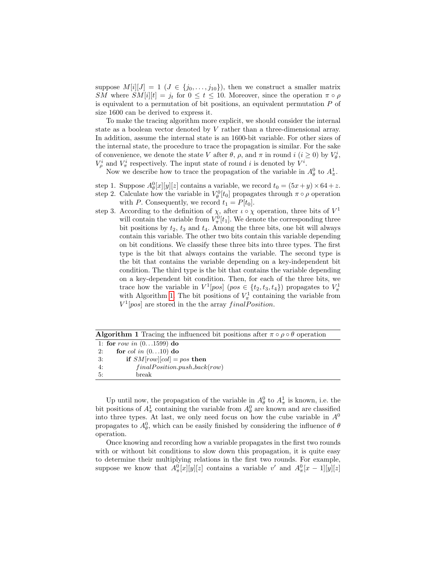suppose  $M[i][J] = 1$   $(J \in \{j_0, \ldots, j_{10}\})$ , then we construct a smaller matrix SM where  $SM[i][t] = j_t$  for  $0 \le t \le 10$ . Moreover, since the operation  $\pi \circ \rho$ is equivalent to a permutation of bit positions, an equivalent permutation P of size 1600 can be derived to express it.

To make the tracing algorithm more explicit, we should consider the internal state as a boolean vector denoted by V rather than a three-dimensional array. In addition, assume the internal state is an 1600-bit variable. For other sizes of the internal state, the procedure to trace the propagation is similar. For the sake of convenience, we denote the state V after  $\theta$ ,  $\rho$ , and  $\pi$  in round  $i$  ( $i \geq 0$ ) by  $V_{\theta}^{i}$ ,  $V^i_\rho$  and  $V^i_\pi$  respectively. The input state of round i is denoted by  $V^i$ .

Now we describe how to trace the propagation of the variable in  $A^0_\theta$  to  $A^1_\pi$ .

step 1. Suppose  $A_{\theta}^{0}[x][y][z]$  contains a variable, we record  $t_{0} = (5x+y) \times 64 + z$ . step 2. Calculate how the variable in  $V_{\theta}^{0}[t_{0}]$  propagates through  $\pi \circ \rho$  operation

with P. Consequently, we record  $t_1 = P[t_0]$ .

step 3. According to the definition of  $\chi$ , after  $\iota \circ \chi$  operation, three bits of  $V^1$ will contain the variable from  $V_{\pi}^{0}[t_1]$ . We denote the corresponding three bit positions by  $t_2$ ,  $t_3$  and  $t_4$ . Among the three bits, one bit will always contain this variable. The other two bits contain this variable depending on bit conditions. We classify these three bits into three types. The first type is the bit that always contains the variable. The second type is the bit that contains the variable depending on a key-independent bit condition. The third type is the bit that contains the variable depending on a key-dependent bit condition. Then, for each of the three bits, we trace how the variable in  $V^1[pos]$  ( $pos \in \{t_2, t_3, t_4\}$ ) propagates to  $V^1_{\pi}$ with Algorithm [1.](#page-7-0) The bit positions of  $V_{\pi}^1$  containing the variable from  $V^1[pos]$  are stored in the the array final Position.

<span id="page-7-0"></span>

| <b>Algorithm 1</b> Tracing the influenced bit positions after $\pi \circ \rho \circ \theta$ operation |  |
|-------------------------------------------------------------------------------------------------------|--|
| 1: for row in $(01599)$ do                                                                            |  |
| for col in $(010)$ do<br>2:                                                                           |  |
| if $SM[row][col] = pos$ then<br>3:                                                                    |  |
| $final Position.push\_back(row)$<br>4:                                                                |  |
| 5:<br>break                                                                                           |  |
|                                                                                                       |  |

Up until now, the propagation of the variable in  $A_{\theta}^0$  to  $A_{\pi}^1$  is known, i.e. the bit positions of  $A^1_\pi$  containing the variable from  $A^0_\theta$  are known and are classified into three types. At last, we only need focus on how the cube variable in  $A^0$ propagates to  $A_{\theta}^{0}$ , which can be easily finished by considering the influence of  $\theta$ operation.

Once knowing and recording how a variable propagates in the first two rounds with or without bit conditions to slow down this propagation, it is quite easy to determine their multiplying relations in the first two rounds. For example, suppose we know that  $A_{\pi}^{0}[x][y][z]$  contains a variable v' and  $A_{\pi}^{0}[x-1][y][z]$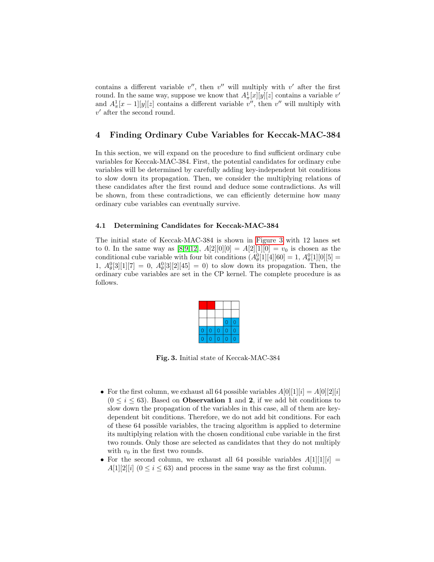contains a different variable  $v''$ , then  $v''$  will multiply with  $v'$  after the first round. In the same way, suppose we know that  $A^1_\pi[x][y][z]$  contains a variable  $v'$ and  $A^1_\pi[x-1][y][z]$  contains a different variable  $v''$ , then  $v''$  will multiply with  $v'$  after the second round.

# <span id="page-8-0"></span>4 Finding Ordinary Cube Variables for Keccak-MAC-384

In this section, we will expand on the procedure to find sufficient ordinary cube variables for Keccak-MAC-384. First, the potential candidates for ordinary cube variables will be determined by carefully adding key-independent bit conditions to slow down its propagation. Then, we consider the multiplying relations of these candidates after the first round and deduce some contradictions. As will be shown, from these contradictions, we can efficiently determine how many ordinary cube variables can eventually survive.

#### 4.1 Determining Candidates for Keccak-MAC-384

The initial state of Keccak-MAC-384 is shown in [Figure 3](#page-8-1) with 12 lanes set to 0. In the same way as [\[8,](#page-18-3)[9](#page-18-4)[,12\]](#page-18-5),  $A[2][0][0] = A[2][1][0] = v_0$  is chosen as the conditional cube variable with four bit conditions  $(A_{\theta}^{0}[1][4][60] = 1, A_{\theta}^{0}[1][0][5] =$ 1,  $A_{\theta}^{0}[3][1][7] = 0$ ,  $A_{\theta}^{0}[3][2][45] = 0$ ) to slow down its propagation. Then, the ordinary cube variables are set in the CP kernel. The complete procedure is as follows.

Fig. 3. Initial state of Keccak-MAC-384

- <span id="page-8-1"></span>• For the first column, we exhaust all 64 possible variables  $A[0][1][i] = A[0][2][i]$  $(0 \le i \le 63)$ . Based on **Observation 1** and 2, if we add bit conditions to slow down the propagation of the variables in this case, all of them are keydependent bit conditions. Therefore, we do not add bit conditions. For each of these 64 possible variables, the tracing algorithm is applied to determine its multiplying relation with the chosen conditional cube variable in the first two rounds. Only those are selected as candidates that they do not multiply with  $v_0$  in the first two rounds.
- For the second column, we exhaust all 64 possible variables  $A[1][1][i] =$  $A[1][2][i]$   $(0 \le i \le 63)$  and process in the same way as the first column.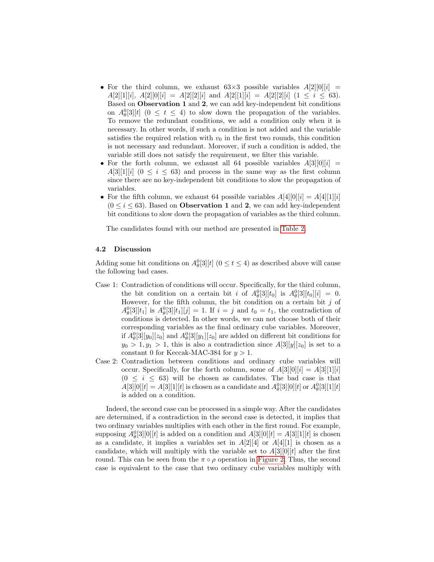- For the third column, we exhaust  $63\times3$  possible variables  $A[2][0][i] =$  $A[2][1][i], A[2][0][i] = A[2][2][i]$  and  $A[2][1][i] = A[2][2][i]$   $(1 \le i \le 63)$ . Based on Observation 1 and 2, we can add key-independent bit conditions on  $A_{\theta}^{0}[3][t]$  ( $0 \leq t \leq 4$ ) to slow down the propagation of the variables. To remove the redundant conditions, we add a condition only when it is necessary. In other words, if such a condition is not added and the variable satisfies the required relation with  $v_0$  in the first two rounds, this condition is not necessary and redundant. Moreover, if such a condition is added, the variable still does not satisfy the requirement, we filter this variable.
- For the forth column, we exhaust all 64 possible variables  $A[3][0][i] =$  $A[3][1][i]$   $(0 \le i \le 63)$  and process in the same way as the first column since there are no key-independent bit conditions to slow the propagation of variables.
- For the fifth column, we exhaust 64 possible variables  $A[4][0][i] = A[4][1][i]$  $(0 \le i \le 63)$ . Based on **Observation 1** and 2, we can add key-independent bit conditions to slow down the propagation of variables as the third column.

The candidates found with our method are presented in [Table 2.](#page-10-0)

#### 4.2 Discussion

Adding some bit conditions on  $A_{\theta}^{0}[3][t]$  ( $0 \le t \le 4$ ) as described above will cause the following bad cases.

- Case 1: Contradiction of conditions will occur. Specifically, for the third column, the bit condition on a certain bit i of  $A_{\theta}^{0}[3][t_0]$  is  $A_{\theta}^{0}[3][t_0][i] = 0$ . However, for the fifth column, the bit condition on a certain bit  $j$  of  $A_{\theta}^{0}[3][t_1]$  is  $A_{\theta}^{0}[3][t_1][j] = 1$ . If  $i = j$  and  $t_0 = t_1$ , the contradiction of conditions is detected. In other words, we can not choose both of their corresponding variables as the final ordinary cube variables. Moreover, if  $A_{\theta}^{0}[3][y_{0}][z_{0}]$  and  $A_{\theta}^{0}[3][y_{1}][z_{0}]$  are added on different bit conditions for  $y_0 > 1, y_1 > 1$ , this is also a contradiction since  $A[3][y][z_0]$  is set to a constant 0 for Keccak-MAC-384 for  $y > 1$ .
- Case 2: Contradiction between conditions and ordinary cube variables will occur. Specifically, for the forth column, some of  $A[3][0][i] = A[3][1][i]$  $(0 \leq i \leq 63)$  will be chosen as candidates. The bad case is that  $A[3][0][t] = A[3][1][t]$  is chosen as a candidate and  $A_{\theta}^{0}[3][0][t]$  or  $A_{\theta}^{0}[3][1][t]$ is added on a condition.

Indeed, the second case can be processed in a simple way. After the candidates are determined, if a contradiction in the second case is detected, it implies that two ordinary variables multiplies with each other in the first round. For example, supposing  $A_{\theta}^{0}[3][0][t]$  is added on a condition and  $A[3][0][t] = A[3][1][t]$  is chosen as a candidate, it implies a variables set in  $A[2][4]$  or  $A[4][1]$  is chosen as a candidate, which will multiply with the variable set to  $A[3][0][t]$  after the first round. This can be seen from the  $\pi \circ \rho$  operation in [Figure 2.](#page-4-0) Thus, the second case is equivalent to the case that two ordinary cube variables multiply with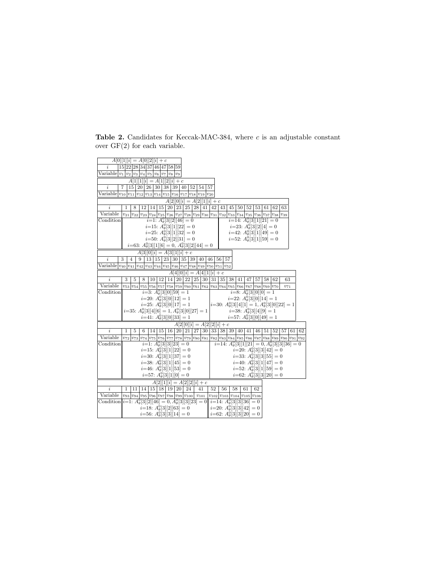<span id="page-10-0"></span>Table 2. Candidates for Keccak-MAC-384, where  $c$  is an adjustable constant over  $GF(2)$  for each variable.

| $A[0][1][i] = A[0][2][i] + c$<br>15 22 28 34 37 46 47 58 59<br>i.                                                                                                  |  |
|--------------------------------------------------------------------------------------------------------------------------------------------------------------------|--|
| $\overline{\text{Variable}} v_1 v_2 v_3 v_4 v_5 v_6 v_7 v_8 v_9$                                                                                                   |  |
|                                                                                                                                                                    |  |
| $A[1][1][i] = A[1][2][i] + c$                                                                                                                                      |  |
| $15 \mid 20 \mid 26 \mid 30 \mid 38 \mid 39 \mid 40 \mid 52 \mid 54$<br>$\dot{\imath}$<br>7<br>57                                                                  |  |
| Variable $ v_{10} v_{11} v_{12} v_{13} v_{14} v_{15} v_{16} v_{17} v_{18} v_{19} v_{20}$                                                                           |  |
| $A[2][0][i] = A[2][1][i] + c$                                                                                                                                      |  |
| 42<br>63<br>$\dot{i}$<br>8<br>$12 \mid 14 \mid 15 \mid 20 \mid 23 \mid 25 \mid 28 \mid 41$<br>43<br>45 50 52 53 61 62<br>1                                         |  |
| Variable<br>$v_{21} v_{22} v_{23} v_{24} v_{25} v_{26} v_{27} v_{28} v_{29} v_{30} v_{31}$<br>$v_{33} v_{34} v_{35} v_{36} v_{37} v_{38} $<br>$v_{32}$<br>$v_{39}$ |  |
| Condition<br>$i=1$ : $A_{\theta}^{0}[3][2][46]=0$<br>$\overline{i=14: A_{\theta}^0[3][1][21]} = 0$                                                                 |  |
| $i=15$ : $A_{\theta}^{0}[3][1][22]=0$<br>$i=23$ : $A_{\theta}^{0}[3][2][4]=0$                                                                                      |  |
| $i=25$ : $A_{\theta}^{0}[3][1][32]=0$<br>$i=42$ : $A_{\theta}^{0}[3][1][49]=0$                                                                                     |  |
| $i=52$ : $A_{\theta}^{0}[3][1][59]=0$<br>$i=50$ : $A_{\theta}^{0}[3][2][31]=0$                                                                                     |  |
| $i=63$ : $A_{\theta}^{0}[3][1][6] = 0$ , $A_{\theta}^{0}[3][2][44] = 0$                                                                                            |  |
| $A[3][0][i] = A[3][1][i] + c$                                                                                                                                      |  |
| 3<br>13 15 23 30 35 39<br>i<br>$\overline{4}$<br>40<br>46<br>56 <br>57<br>9                                                                                        |  |
| Variable $ v_{40} v_{41} v_{42} v_{43} v_{44} v_{45} v_{46} v_{47} v_{48} v_{49} v_{50} v_{51} v_{52}$                                                             |  |
| $A[4][0][i] = A[4][1][i] + c$                                                                                                                                      |  |
| 14 20 22 25 30 31 35 38 41 47 <br>3<br>5<br>63<br>i<br>8<br>10 12 <br>57<br>58 62                                                                                  |  |
| Variable<br>$v_{53}v_{54}v_{55}v_{56}v_{56}v_{57}v_{58}v_{59}v_{60}v_{61}v_{62}v_{63}v_{64}v_{65}v_{66}v_{67}v_{68}v_{69}v_{70}$<br>$v_{71}$                       |  |
| Condition<br>$i=3$ : $A_{\theta}^{0}[3][0][59]=1$<br>$\overline{i=8: A_{\theta}^0[3][0][0]} = 1$                                                                   |  |
| $i=20$ : $A_{\theta}^{0}[3][0][12]=1$<br>$i=22$ : $A_{\theta}^{0}[3][0][14]=1$                                                                                     |  |
| $i=25$ : $A_{\theta}^{0}[3][0][17]=1$<br>$i=30$ : $A_{\theta}^{0}[3][4][1] = 1, A_{\theta}^{0}[3][0][22] = 1$                                                      |  |
| $i=35$ : $A_{\theta}^{0}[3][4][6] = 1, A_{\theta}^{0}[3][0][27] = 1$<br>$i=38$ : $A_{\theta}^{0}[3][4][9]=1$                                                       |  |
| $i=41: A_{\theta}^{0}[3][0][33] = 1$<br>$i=57$ : $A_{\theta}^{0}[3][0][49]=1$                                                                                      |  |
| $A[2][0][i] = A[2][2][i] + c$                                                                                                                                      |  |
| 16 20 21 27 30 33 38 39 40 <br>$\dot{i}$<br>41   46   51   52   57   61   62<br>1<br>5<br>14 15 <br>6                                                              |  |
| Variable<br>$v_{72} v_{73} v_{74} v_{75} v_{76} v_{77} v_{78} v_{79} v_{80} v_{81} v_{82} v_{83} v_{84} v_{85} v_{86} v_{87} v_{88} v_{89} v_{90} v_{91} v_{92}$   |  |
| $i=1: A_{\theta}^{0}[3][3][23]=0$<br>$i=14$ : $A_{\theta}^{0}[3][1][21]=0, A_{\theta}^{0}[3][3][36]=0$<br>Condition                                                |  |
| $i=15$ : $A_{\theta}^{0}[3][1][22]=0$<br>$i=20$ : $A_{\theta}^{0}[3][3][42]=0$                                                                                     |  |
| $i=30$ : $A_{\theta}^{0}[3][1][37]=0$<br>$i=33$ : $A_{\theta}^{0}[3][3][55]=0$                                                                                     |  |
| $i=38$ : $A_{\theta}^{0}[3][1][45]=0$<br>$i{=}40{:}~ A^0_{\theta}[3][1][47] = 0$                                                                                   |  |
| $i=46: A_{\theta}^{0}[3][1][53]=0$<br>$i=52$ : $A_{\theta}^{0}[3][1][59]=0$                                                                                        |  |
| $i=57: A_{\theta}^{0}[3][1][0] = 0$<br>$i=62$ : $A_{\theta}^{0}[3][3][20] = 0$                                                                                     |  |
| $A[2][1][i] = A[2][2][i] + c$                                                                                                                                      |  |
| $\boldsymbol{i}$<br>$14 \mid 15 \mid 18 \mid 19 \mid 20$<br>52<br>11<br>24<br>41<br>56<br>62<br>1<br>58<br>61                                                      |  |
| Variable<br>$v_{93} v_{94} v_{95} v_{96} v_{97} v_{98} v_{99} v_{100} v_{101}$<br>$v_{102} v_{103} v_{104} v_{105} v_{106}$                                        |  |
| Condition $i=1$ : $A_{\theta}^{0}[3][2][46] = 0$ , $A_{\theta}^{0}[3][3][23] = 0$<br>$i=14$ : $A_{\theta}^{0}[3][3][36]=0$                                         |  |
| $i=18: A_{\theta}^{0}[3][2][63]=0$<br>$i=20$ : $A_{\theta}^{0}[3][3][42]=0$                                                                                        |  |
| $i=56$ : $A_{\theta}^{0}[3][3][14]=0$<br>$i=62$ : $A_{\theta}^{0}[3][3][20] = 0$                                                                                   |  |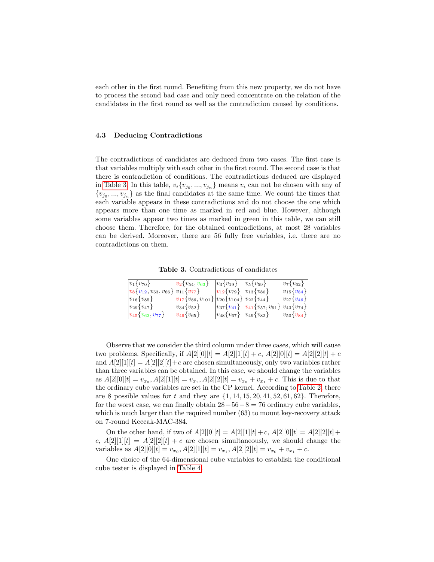each other in the first round. Benefiting from this new property, we do not have to process the second bad case and only need concentrate on the relation of the candidates in the first round as well as the contradiction caused by conditions.

#### 4.3 Deducing Contradictions

The contradictions of candidates are deduced from two cases. The first case is that variables multiply with each other in the first round. The second case is that there is contradiction of conditions. The contradictions deduced are displayed in [Table 3.](#page-11-0) In this table,  $v_i\{v_{j_0},...,v_{j_n}\}\$  means  $v_i$  can not be chosen with any of  ${v_{j_0},...,v_{j_n}}$  as the final candidates at the same time. We count the times that each variable appears in these contradictions and do not choose the one which appears more than one time as marked in red and blue. However, although some variables appear two times as marked in green in this table, we can still choose them. Therefore, for the obtained contradictions, at most 28 variables can be derived. Moreover, there are 56 fully free variables, i.e. there are no contradictions on them.

Table 3. Contradictions of candidates

<span id="page-11-0"></span>

| $ v_1\{v_{70}\}\rangle$                            | $ v_2\{v_{54}, v_{63}\}\rangle$                                  | $ v_3\{v_{19}\}\$                                     | $ v_5\{v_{59}\}\$                                   | $v_7\{v_{62}\}\$            |
|----------------------------------------------------|------------------------------------------------------------------|-------------------------------------------------------|-----------------------------------------------------|-----------------------------|
| $ v_8\{v_{12}, v_{53}, v_{66}\} v_{11}\{v_{77}\}\$ |                                                                  | $ v_{12}\{v_{79}\} v_{13}\{v_{80}\}\$                 |                                                     | $ v_{15} \{v_{84}\}\rangle$ |
| $ v_{16} \{v_{85}\}\rangle$                        | $ v_{17}\{v_{86}, v_{101}\} v_{20}\{v_{104}\} v_{22}\{v_{44}\}\$ |                                                       |                                                     | $ v_{27}\{v_{46}\} $        |
| $ v_{29}\{v_{47}\}\rangle$                         | $ v_{34}\{v_{52}\}\$                                             |                                                       | $ v_{37}\{v_{41}\}\>$ $ v_{41}\{v_{57}, v_{91}\}\>$ | $\{ v_{43} \{v_{74}\}\}\$   |
| $ v_{45} \{v_{63}, v_{77}\}\rangle$                | $ v_{46} \{v_{65}\}\rangle$                                      | $ v_{48} \{v_{67}\}\rangle  v_{49} \{v_{82}\}\rangle$ |                                                     | $ v_{50} \{ v_{84} \} $     |

Observe that we consider the third column under three cases, which will cause two problems. Specifically, if  $A[2][0][t] = A[2][1][t] + c$ ,  $A[2][0][t] = A[2][2][t] + c$ and  $A[2][1][t] = A[2][2][t] + c$  are chosen simultaneously, only two variables rather than three variables can be obtained. In this case, we should change the variables as  $A[2][0][t] = v_{x_0}, A[2][1][t] = v_{x_1}, A[2][2][t] = v_{x_0} + v_{x_1} + c$ . This is due to that the ordinary cube variables are set in the CP kernel. According to [Table 2,](#page-10-0) there are 8 possible values for t and they are  $\{1, 14, 15, 20, 41, 52, 61, 62\}$ . Therefore, for the worst case, we can finally obtain  $28+56-8=76$  ordinary cube variables, which is much larger than the required number  $(63)$  to mount key-recovery attack on 7-round Keccak-MAC-384.

On the other hand, if two of  $A[2][0][t] = A[2][1][t] + c$ ,  $A[2][0][t] = A[2][2][t] +$ c,  $A[2][1][t] = A[2][2][t] + c$  are chosen simultaneously, we should change the variables as  $A[2][0][t] = v_{x_0}, A[2][1][t] = v_{x_1}, A[2][2][t] = v_{x_0} + v_{x_1} + c.$ 

One choice of the 64-dimensional cube variables to establish the conditional cube tester is displayed in [Table 4.](#page-12-1)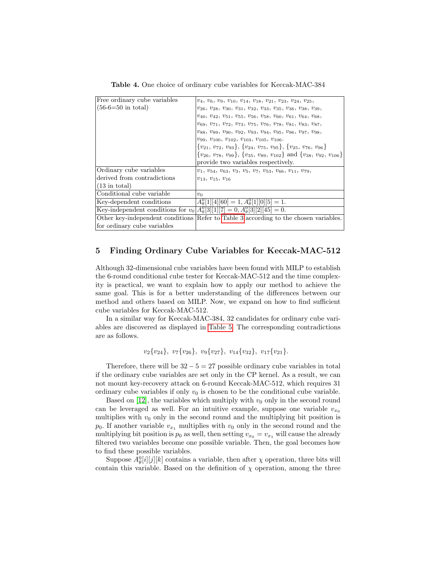Table 4. One choice of ordinary cube variables for Keccak-MAC-384

<span id="page-12-1"></span>

| Free ordinary cube variables                                                            | $v_4, v_6, v_9, v_{10}, v_{14}, v_{18}, v_{21}, v_{23}, v_{24}, v_{25},$                    |
|-----------------------------------------------------------------------------------------|---------------------------------------------------------------------------------------------|
| $(56-6=50$ in total)                                                                    | $v_{26}, v_{28}, v_{30}, v_{31}, v_{32}, v_{33}, v_{35}, v_{36}, v_{38}, v_{39},$           |
|                                                                                         | $v_{40}, v_{42}, v_{51}, v_{55}, v_{56}, v_{58}, v_{60}, v_{61}, v_{64}, v_{68},$           |
|                                                                                         | $v_{69}, v_{71}, v_{72}, v_{73}, v_{75}, v_{76}, v_{78}, v_{81}, v_{83}, v_{87},$           |
|                                                                                         | $v_{88}, v_{89}, v_{90}, v_{92}, v_{93}, v_{94}, v_{95}, v_{96}, v_{97}, v_{98},$           |
|                                                                                         | $v_{99}, v_{100}, v_{102}, v_{103}, v_{105}, v_{106}.$                                      |
|                                                                                         | ${v_{21}, v_{72}, v_{93}}, \{v_{24}, v_{75}, v_{95}\}, \{v_{25}, v_{76}, v_{96}\}$          |
|                                                                                         | $\{v_{26}, v_{78}, v_{99}\}, \{v_{35}, v_{89}, v_{102}\}$ and $\{v_{38}, v_{92}, v_{106}\}$ |
|                                                                                         | provide two variables respectively.                                                         |
| Ordinary cube variables                                                                 | $v_1, v_{54}, v_{63}, v_3, v_5, v_7, v_{53}, v_{66}, v_{11}, v_{79},$                       |
| derived from contradictions                                                             | $v_{13}, v_{15}, v_{16}$                                                                    |
| $(13 \text{ in total})$                                                                 |                                                                                             |
| Conditional cube variable                                                               | $v_0$                                                                                       |
| Key-dependent conditions                                                                | $A_{\theta}^{0}[1][4][60] = 1, A_{\theta}^{0}[1][0][5] = 1.$                                |
| Key-independent conditions for $v_0[A_\theta^0[3][1][7] = 0, A_\theta^0[3][2][45] = 0.$ |                                                                                             |
|                                                                                         | Other key-independent conditions Refer to Table 3 according to the chosen variables.        |
| for ordinary cube variables                                                             |                                                                                             |

## <span id="page-12-0"></span>5 Finding Ordinary Cube Variables for Keccak-MAC-512

Although 32-dimensional cube variables have been found with MILP to establish the 6-round conditional cube tester for Keccak-MAC-512 and the time complexity is practical, we want to explain how to apply our method to achieve the same goal. This is for a better understanding of the differences between our method and others based on MILP. Now, we expand on how to find sufficient cube variables for Keccak-MAC-512.

In a similar way for Keccak-MAC-384, 32 candidates for ordinary cube variables are discovered as displayed in [Table 5.](#page-13-0) The corresponding contradictions are as follows.

$$
v_2\{v_{24}\}, v_7\{v_{26}\}, v_9\{v_{27}\}, v_{14}\{v_{32}\}, v_{17}\{v_{21}\}.
$$

Therefore, there will be  $32 - 5 = 27$  possible ordinary cube variables in total if the ordinary cube variables are set only in the CP kernel. As a result, we can not mount key-recovery attack on 6-round Keccak-MAC-512, which requires 31 ordinary cube variables if only  $v_0$  is chosen to be the conditional cube variable.

Based on [\[12\]](#page-18-5), the variables which multiply with  $v_0$  only in the second round can be leveraged as well. For an intuitive example, suppose one variable  $v_{x_0}$ multiplies with  $v_0$  only in the second round and the multiplying bit position is  $p_0$ . If another variable  $v_{x_1}$  multiplies with  $v_0$  only in the second round and the multiplying bit position is  $p_0$  as well, then setting  $v_{x_0} = v_{x_1}$  will cause the already filtered two variables become one possible variable. Then, the goal becomes how to find these possible variables.

Suppose  $A_{\theta}^{0}[i][j][k]$  contains a variable, then after  $\chi$  operation, three bits will contain this variable. Based on the definition of  $\chi$  operation, among the three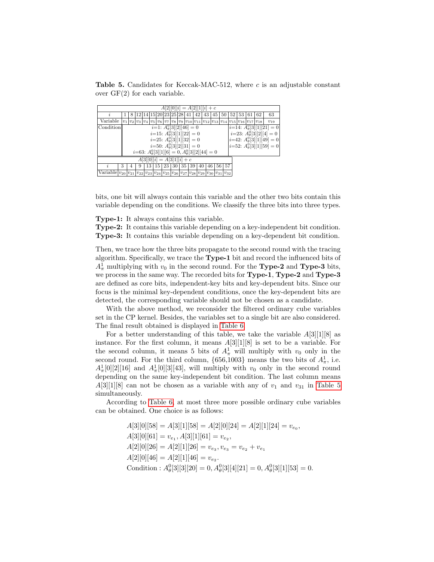<span id="page-13-0"></span>Table 5. Candidates for Keccak-MAC-512, where  $c$  is an adjustable constant over  $GF(2)$  for each variable.

| $A[2][0][i] = A[2][1][i] + c$                                                                          |   |   |   |    |    |                         |    |  |       |    |    |    |    |                                                                                                                                                                                                                                                                                                         |       |     |    |          |
|--------------------------------------------------------------------------------------------------------|---|---|---|----|----|-------------------------|----|--|-------|----|----|----|----|---------------------------------------------------------------------------------------------------------------------------------------------------------------------------------------------------------------------------------------------------------------------------------------------------------|-------|-----|----|----------|
|                                                                                                        |   |   |   |    |    | 12 14 15 20 23 25 28 41 |    |  |       | 42 | 43 | 45 | 50 |                                                                                                                                                                                                                                                                                                         | 52 53 | -61 | 62 | 63       |
| Variable                                                                                               |   |   |   |    |    |                         |    |  |       |    |    |    |    | $v_1 v_2 v_3 v_4 v_5 v_6 v_7 v_8 v_9 v_{10} v_{11} v_{12} v_{13} v_{14} v_{15} v_{16} v_{17} v_{18} v_{18} v_{19} v_{10} v_{11} v_{13} v_{14} v_{15} v_{16} v_{17} v_{18} v_{18} v_{19} v_{10} v_{11} v_{12} v_{13} v_{14} v_{15} v_{16} v_{17} v_{18} v_{18} v_{19} v_{10} v_{10} v_{11} v_{13} v_{14$ |       |     |    | $v_{19}$ |
| $i=1$ : $A_{\theta}^{0}[3][2][46]=0$<br>$ i=14$ : $A_{\theta}^{0}[3][1][21]=0$<br>Condition            |   |   |   |    |    |                         |    |  |       |    |    |    |    |                                                                                                                                                                                                                                                                                                         |       |     |    |          |
| $i=23$ : $A_{\theta}^{0}[3][2][4]=0$<br>$i=15$ : $A_{\theta}^{0}[3][1][22]=0$                          |   |   |   |    |    |                         |    |  |       |    |    |    |    |                                                                                                                                                                                                                                                                                                         |       |     |    |          |
| $i=42$ : $A_{\theta}^{0}[3][1][49]=0$<br>$i=25$ : $A_{\theta}^{0}[3][1][32]=0$                         |   |   |   |    |    |                         |    |  |       |    |    |    |    |                                                                                                                                                                                                                                                                                                         |       |     |    |          |
| $ i=52$ : $A_{\theta}^{0}[3][1][59]=0$<br>$i=50$ : $A_{\theta}^{0}[3][2][31]=0$                        |   |   |   |    |    |                         |    |  |       |    |    |    |    |                                                                                                                                                                                                                                                                                                         |       |     |    |          |
| $i=63$ : $A_{\theta}^{0}[3][1][6] = 0, A_{\theta}^{0}[3][2][44] = 0$                                   |   |   |   |    |    |                         |    |  |       |    |    |    |    |                                                                                                                                                                                                                                                                                                         |       |     |    |          |
| $= A[3]1 [i] + c$<br>A 3  0  i                                                                         |   |   |   |    |    |                         |    |  |       |    |    |    |    |                                                                                                                                                                                                                                                                                                         |       |     |    |          |
|                                                                                                        | 3 | 4 | 9 | 13 | 15 | 23                      | 30 |  | 35 39 | 40 | 46 |    | 56 | 57                                                                                                                                                                                                                                                                                                      |       |     |    |          |
| Variable $ v_{20} v_{21} v_{22} v_{23} v_{24} v_{25} v_{26} v_{27} v_{28} v_{29} v_{30} v_{31} v_{32}$ |   |   |   |    |    |                         |    |  |       |    |    |    |    |                                                                                                                                                                                                                                                                                                         |       |     |    |          |
|                                                                                                        |   |   |   |    |    |                         |    |  |       |    |    |    |    |                                                                                                                                                                                                                                                                                                         |       |     |    |          |

bits, one bit will always contain this variable and the other two bits contain this variable depending on the conditions. We classify the three bits into three types.

Type-1: It always contains this variable.

Type-2: It contains this variable depending on a key-independent bit condition. Type-3: It contains this variable depending on a key-dependent bit condition.

Then, we trace how the three bits propagate to the second round with the tracing algorithm. Specifically, we trace the Type-1 bit and record the influenced bits of  $A_{\pi}^1$  multiplying with  $v_0$  in the second round. For the **Type-2** and **Type-3** bits, we process in the same way. The recorded bits for **Type-1**, **Type-2** and **Type-3** are defined as core bits, independent-key bits and key-dependent bits. Since our focus is the minimal key-dependent conditions, once the key-dependent bits are detected, the corresponding variable should not be chosen as a candidate.

With the above method, we reconsider the filtered ordinary cube variables set in the CP kernel. Besides, the variables set to a single bit are also considered. The final result obtained is displayed in [Table 6.](#page-14-0)

For a better understanding of this table, we take the variable  $A[3][1][8]$  as instance. For the first column, it means A[3][1][8] is set to be a variable. For the second column, it means 5 bits of  $A_{\pi}^1$  will multiply with  $v_0$  only in the second round. For the third column,  $\{656,1003\}$  means the two bits of  $A_{\pi}^1$ , i.e.  $A_{\pi}^1[0][2][16]$  and  $A_{\pi}^1[0][3][43]$ , will multiply with  $v_0$  only in the second round depending on the same key-independent bit condition. The last column means  $A[3][1][8]$  can not be chosen as a variable with any of  $v_1$  and  $v_{31}$  in [Table 5](#page-13-0) simultaneously.

According to [Table 6,](#page-14-0) at most three more possible ordinary cube variables can be obtained. One choice is as follows:

> $A[3][0][58] = A[3][1][58] = A[2][0][24] = A[2][1][24] = v_{e_0},$  $A[3][0][61] = v_{e_1}, A[3][1][61] = v_{e_2},$  $A[2][0][26] = A[2][1][26] = v_{e_3}, v_{e_3} = v_{e_2} + v_{e_1}$  $A[2][0][46] = A[2][1][46] = v_{e_2}.$ Condition :  $A_{\theta}^{0}[3][3][20] = 0, A_{\theta}^{0}[3][4][21] = 0, A_{\theta}^{0}[3][1][53] = 0.$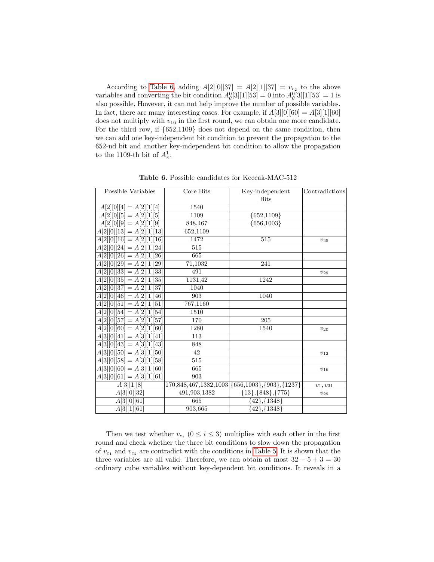According to [Table 6,](#page-14-0) adding  $A[2][0][37] = A[2][1][37] = v_{e_2}$  to the above variables and converting the bit condition  $A_{\theta}^{0}[3][1][53] = 0$  into  $A_{\theta}^{0}[3][1][53] = 1$  is also possible. However, it can not help improve the number of possible variables. In fact, there are many interesting cases. For example, if  $A[3][0][60] = A[3][1][60]$ does not multiply with  $v_{16}$  in the first round, we can obtain one more candidate. For the third row, if {652,1109} does not depend on the same condition, then we can add one key-independent bit condition to prevent the propagation to the 652-nd bit and another key-independent bit condition to allow the propagation to the 1109-th bit of  $A^1_{\pi}$ .

<span id="page-14-0"></span>

| <b>Bits</b><br>$A[2][0][4] = A[2][1][4]$<br>1540<br>$A[2][0][5] = A[2][1][5]$<br>1109<br>${652,1109}$<br>$\overline{\{656,1003\}}$<br>848,467<br>$A[2][0][9] = A[2][1][9]$<br>$\overline{A[2][0][13]} = \overline{A[2]}[1][13]$<br>652,1109<br>1472<br>$A[2][0][16] = A[2][1][16]$<br>515<br>$v_{25}$<br>$A[2][0][24] = A[2][1][24]$<br>515<br>$A[2][0][26] = A[2][1][26]$<br>665<br>$A[2][0][29] = A[2][1][29]$<br>71,1032<br>241<br>491<br>$A[2][0][33] = A[2][1][33]$<br>$v_{29}$<br>$A[2][0][35] = A[2][1][35]$<br>1131,42<br>1242<br>$A[2][0][37] = A[2][1][37]$<br>1040<br>903<br>1040<br>$A[2][0][46] = A[2][1][46]$<br>$A[2][0][51] = A[2][1][51]$<br>767,1160<br>1510<br>$A[2][0][54] = A[2][1][54]$<br>$A[2][0][57] = A[2][1][57]$<br>170<br>205<br>$A[2][0][60] = A[2][1][60]$<br>1280<br>1540<br>$v_{20}$ |
|-----------------------------------------------------------------------------------------------------------------------------------------------------------------------------------------------------------------------------------------------------------------------------------------------------------------------------------------------------------------------------------------------------------------------------------------------------------------------------------------------------------------------------------------------------------------------------------------------------------------------------------------------------------------------------------------------------------------------------------------------------------------------------------------------------------------------|
|                                                                                                                                                                                                                                                                                                                                                                                                                                                                                                                                                                                                                                                                                                                                                                                                                       |
|                                                                                                                                                                                                                                                                                                                                                                                                                                                                                                                                                                                                                                                                                                                                                                                                                       |
|                                                                                                                                                                                                                                                                                                                                                                                                                                                                                                                                                                                                                                                                                                                                                                                                                       |
|                                                                                                                                                                                                                                                                                                                                                                                                                                                                                                                                                                                                                                                                                                                                                                                                                       |
|                                                                                                                                                                                                                                                                                                                                                                                                                                                                                                                                                                                                                                                                                                                                                                                                                       |
|                                                                                                                                                                                                                                                                                                                                                                                                                                                                                                                                                                                                                                                                                                                                                                                                                       |
|                                                                                                                                                                                                                                                                                                                                                                                                                                                                                                                                                                                                                                                                                                                                                                                                                       |
|                                                                                                                                                                                                                                                                                                                                                                                                                                                                                                                                                                                                                                                                                                                                                                                                                       |
|                                                                                                                                                                                                                                                                                                                                                                                                                                                                                                                                                                                                                                                                                                                                                                                                                       |
|                                                                                                                                                                                                                                                                                                                                                                                                                                                                                                                                                                                                                                                                                                                                                                                                                       |
|                                                                                                                                                                                                                                                                                                                                                                                                                                                                                                                                                                                                                                                                                                                                                                                                                       |
|                                                                                                                                                                                                                                                                                                                                                                                                                                                                                                                                                                                                                                                                                                                                                                                                                       |
|                                                                                                                                                                                                                                                                                                                                                                                                                                                                                                                                                                                                                                                                                                                                                                                                                       |
|                                                                                                                                                                                                                                                                                                                                                                                                                                                                                                                                                                                                                                                                                                                                                                                                                       |
|                                                                                                                                                                                                                                                                                                                                                                                                                                                                                                                                                                                                                                                                                                                                                                                                                       |
|                                                                                                                                                                                                                                                                                                                                                                                                                                                                                                                                                                                                                                                                                                                                                                                                                       |
|                                                                                                                                                                                                                                                                                                                                                                                                                                                                                                                                                                                                                                                                                                                                                                                                                       |
| 113<br>$A[3][0][41] = A[3][1][41]$                                                                                                                                                                                                                                                                                                                                                                                                                                                                                                                                                                                                                                                                                                                                                                                    |
| $\overline{A[3][0][43]} = \overline{A[3]}[1][43]$<br>848                                                                                                                                                                                                                                                                                                                                                                                                                                                                                                                                                                                                                                                                                                                                                              |
| $A[3][0][50] = A[3][1][50]$<br>42<br>$v_{12}$                                                                                                                                                                                                                                                                                                                                                                                                                                                                                                                                                                                                                                                                                                                                                                         |
| $\overline{515}$<br>$A[3][0][58] = A[3][1][58]$                                                                                                                                                                                                                                                                                                                                                                                                                                                                                                                                                                                                                                                                                                                                                                       |
| $A[3][0][60] = A[3][1][60]$<br>665<br>$v_{16}$                                                                                                                                                                                                                                                                                                                                                                                                                                                                                                                                                                                                                                                                                                                                                                        |
| $A[3][0][61] = A[3][1][61]$<br>903                                                                                                                                                                                                                                                                                                                                                                                                                                                                                                                                                                                                                                                                                                                                                                                    |
| A[3][1][8]<br>170,848,467,1382,1003<br>$\{656, 1003\}, \{903\}, \{1237\}$<br>$v_1, v_{31}$                                                                                                                                                                                                                                                                                                                                                                                                                                                                                                                                                                                                                                                                                                                            |
| $\{13\}, \{848\}, \{775\}$<br>A[3][0][32]<br>491,903,1382<br>$v_{29}$                                                                                                                                                                                                                                                                                                                                                                                                                                                                                                                                                                                                                                                                                                                                                 |
| A[3][0][61]<br>$\{42\}, \{1348\}$<br>665                                                                                                                                                                                                                                                                                                                                                                                                                                                                                                                                                                                                                                                                                                                                                                              |
| 903,665<br>${42}, \overline{{1348}}$<br>A[3][1][61]                                                                                                                                                                                                                                                                                                                                                                                                                                                                                                                                                                                                                                                                                                                                                                   |

Table 6. Possible candidates for Keccak-MAC-512

Then we test whether  $v_{e_i}$   $(0 \leq i \leq 3)$  multiplies with each other in the first round and check whether the three bit conditions to slow down the propagation of  $v_{e_1}$  and  $v_{e_2}$  are contradict with the conditions in [Table 5.](#page-13-0) It is shown that the three variables are all valid. Therefore, we can obtain at most  $32 - 5 + 3 = 30$ ordinary cube variables without key-dependent bit conditions. It reveals in a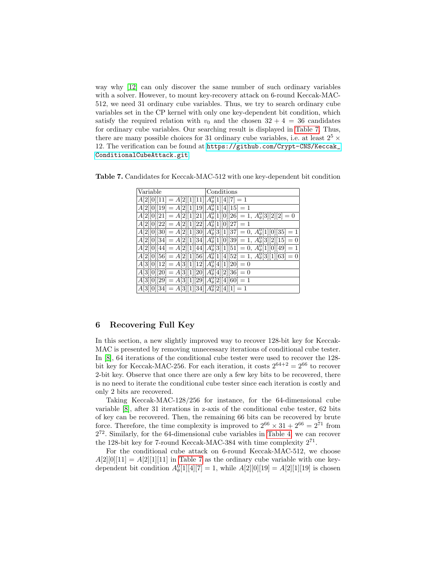way why [\[12\]](#page-18-5) can only discover the same number of such ordinary variables with a solver. However, to mount key-recovery attack on 6-round Keccak-MAC-512, we need 31 ordinary cube variables. Thus, we try to search ordinary cube variables set in the CP kernel with only one key-dependent bit condition, which satisfy the required relation with  $v_0$  and the chosen  $32 + 4 = 36$  candidates for ordinary cube variables. Our searching result is displayed in [Table 7.](#page-15-1) Thus, there are many possible choices for 31 ordinary cube variables, i.e. at least  $2^5 \times$ 12. The verification can be found at [https://github.com/Crypt-CNS/Keccak\\_](https://github.com/Crypt-CNS/Keccak_ConditionalCubeAttack.git) [ConditionalCubeAttack.git](https://github.com/Crypt-CNS/Keccak_ConditionalCubeAttack.git).

<span id="page-15-1"></span>Table 7. Candidates for Keccak-MAC-512 with one key-dependent bit condition

| Variable                                                                                 | Conditions                                                                                  |
|------------------------------------------------------------------------------------------|---------------------------------------------------------------------------------------------|
| $A[2][0][11] = A[2][1][11][A_{\theta}^{0}[1][4][7] = 1$                                  |                                                                                             |
| $A[2][0][19] = A[2][1][19]A_{\theta}^{0}[1][4][15] = 1$                                  |                                                                                             |
|                                                                                          | $A[2][0][21] = A[2][1][21]A_{\theta}^{0}[1][0][26] = 1, A_{\theta}^{0}[3][2][2] = 0$        |
| $A[2][0][22] = A[2][1][22][A_{\theta}^{0}[1][0][27] = 1$                                 |                                                                                             |
|                                                                                          | $A[2][0][30] = A[2][1][30]$ $A_{\theta}^{0}[3][1][37] = 0$ , $A_{\theta}^{0}[1][0][35] = 1$ |
|                                                                                          | $A[2][0][34] = A[2][1][34][A_{\theta}^{0}[1][0][39] = 1, A_{\theta}^{0}[3][2][15] = 0$      |
|                                                                                          | $A[2][0][44] = A[2][1][44][A_{\theta}^0[3][1][51] = 0, A_{\theta}^0[1][0][49] = 1$          |
|                                                                                          | $A[2][0][56] = A[2][1][56][A_{\theta}^{0}[1][4][52] = 1, A_{\theta}^{0}[3][1][63] = 0$      |
| $\overline{[A[3][0][12] = A[3][1][12][A_{\theta}^{0}[4][1][20]]} = 0$                    |                                                                                             |
| $\overline{[A[3][0][20]} = \overline{A[3][1][20]} \overline{A_{\theta}^0[4][2][36]} = 0$ |                                                                                             |
| $A[3][0][29] = A[3][1][29][A_{\theta}^{0}[2][4][60] = 1$                                 |                                                                                             |
| $A[3][0][34] = A[3][1][34]A_{\theta}^{0}[2][4][1] = 1$                                   |                                                                                             |

# <span id="page-15-0"></span>6 Recovering Full Key

In this section, a new slightly improved way to recover 128-bit key for Keccak-MAC is presented by removing unnecessary iterations of conditional cube tester. In [\[8\]](#page-18-3), 64 iterations of the conditional cube tester were used to recover the 128 bit key for Keccak-MAC-256. For each iteration, it costs  $2^{64+2} = 2^{66}$  to recover 2-bit key. Observe that once there are only a few key bits to be recovered, there is no need to iterate the conditional cube tester since each iteration is costly and only 2 bits are recovered.

Taking Keccak-MAC-128/256 for instance, for the 64-dimensional cube variable [\[8\]](#page-18-3), after 31 iterations in z-axis of the conditional cube tester, 62 bits of key can be recovered. Then, the remaining 66 bits can be recovered by brute force. Therefore, the time complexity is improved to  $2^{66} \times 31 + 2^{66} = 2^{71}$  from 2 <sup>72</sup>. Similarly, for the 64-dimensional cube variables in [Table 4,](#page-12-1) we can recover the 128-bit key for 7-round Keccak-MAC-384 with time complexity  $2^{71}$ .

For the conditional cube attack on 6-round Keccak-MAC-512, we choose  $A[2][0][11] = A[2][1][11]$  in [Table 7](#page-15-1) as the ordinary cube variable with one keydependent bit condition  $A_{\theta}^{0}[1][4][7] = 1$ , while  $A[2][0][19] = A[2][1][19]$  is chosen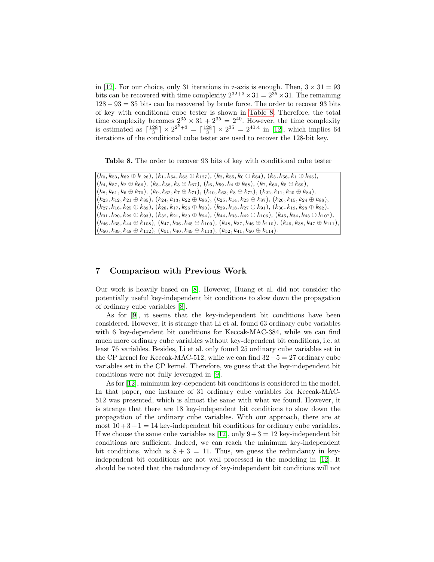in [\[12\]](#page-18-5). For our choice, only 31 iterations in z-axis is enough. Then,  $3 \times 31 = 93$ bits can be recovered with time complexity  $2^{32+3} \times 31 = 2^{35} \times 31$ . The remaining  $128 - 93 = 35$  bits can be recovered by brute force. The order to recover 93 bits of key with conditional cube tester is shown in [Table 8.](#page-16-1) Therefore, the total time complexity becomes  $2^{35} \times 31 + 2^{35} = 2^{40}$ . However, the time complexity is estimated as  $\lceil \frac{128}{3} \rceil \times 2^{2^5+3} = \lceil \frac{128}{3} \rceil \times 2^{35} = 2^{40.4}$  in [\[12\]](#page-18-5), which implies 64 iterations of the conditional cube tester are used to recover the 128-bit key.

<span id="page-16-1"></span>Table 8. The order to recover 93 bits of key with conditional cube tester

 $(k_0, k_{53}, k_{62} \oplus k_{126}), (k_1, k_{54}, k_{63} \oplus k_{127}), (k_2, k_{55}, k_0 \oplus k_{64}), (k_3, k_{56}, k_1 \oplus k_{65}),$  $(k_4, k_{57}, k_2 \oplus k_{66}), (k_5, k_{58}, k_3 \oplus k_{67}), (k_6, k_{59}, k_4 \oplus k_{68}), (k_7, k_{60}, k_5 \oplus k_{69}),$  $(k_8, k_{61}, k_6 \oplus k_{70}), (k_9, k_{62}, k_7 \oplus k_{71}), (k_{10}, k_{63}, k_8 \oplus k_{72}), (k_{22}, k_{11}, k_{20} \oplus k_{84}),$  $(k_{23}, k_{12}, k_{21} \oplus k_{85}), (k_{24}, k_{13}, k_{22} \oplus k_{86}), (k_{25}, k_{14}, k_{23} \oplus k_{87}), (k_{26}, k_{15}, k_{24} \oplus k_{88}),$  $(k_{27}, k_{16}, k_{25} \oplus k_{89}), (k_{28}, k_{17}, k_{26} \oplus k_{90}), (k_{29}, k_{18}, k_{27} \oplus k_{91}), (k_{30}, k_{19}, k_{28} \oplus k_{92}),$  $(k_{31}, k_{20}, k_{29} \oplus k_{93}), (k_{32}, k_{21}, k_{30} \oplus k_{94}), (k_{44}, k_{33}, k_{42} \oplus k_{106}), (k_{45}, k_{34}, k_{43} \oplus k_{107}),$  $(k_{46}, k_{35}, k_{44} \oplus k_{108}), (k_{47}, k_{36}, k_{45} \oplus k_{109}), (k_{48}, k_{37}, k_{46} \oplus k_{110}), (k_{49}, k_{38}, k_{47} \oplus k_{111})$  $(k_{50}, k_{39}, k_{48} \oplus k_{112}), (k_{51}, k_{40}, k_{49} \oplus k_{113}), (k_{52}, k_{41}, k_{50} \oplus k_{114}).$ 

# <span id="page-16-0"></span>7 Comparison with Previous Work

Our work is heavily based on [\[8\]](#page-18-3). However, Huang et al. did not consider the potentially useful key-independent bit conditions to slow down the propagation of ordinary cube variables [\[8\]](#page-18-3).

As for [\[9\]](#page-18-4), it seems that the key-independent bit conditions have been considered. However, it is strange that Li et al. found 63 ordinary cube variables with 6 key-dependent bit conditions for Keccak-MAC-384, while we can find much more ordinary cube variables without key-dependent bit conditions, i.e. at least 76 variables. Besides, Li et al. only found 25 ordinary cube variables set in the CP kernel for Keccak-MAC-512, while we can find  $32-5=27$  ordinary cube variables set in the CP kernel. Therefore, we guess that the key-independent bit conditions were not fully leveraged in [\[9\]](#page-18-4).

As for [\[12\]](#page-18-5), minimum key-dependent bit conditions is considered in the model. In that paper, one instance of 31 ordinary cube variables for Keccak-MAC-512 was presented, which is almost the same with what we found. However, it is strange that there are 18 key-independent bit conditions to slow down the propagation of the ordinary cube variables. With our approach, there are at most  $10 + 3 + 1 = 14$  key-independent bit conditions for ordinary cube variables. If we choose the same cube variables as [\[12\]](#page-18-5), only  $9+3=12$  key-independent bit conditions are sufficient. Indeed, we can reach the minimum key-independent bit conditions, which is  $8 + 3 = 11$ . Thus, we guess the redundancy in keyindependent bit conditions are not well processed in the modeling in [\[12\]](#page-18-5). It should be noted that the redundancy of key-independent bit conditions will not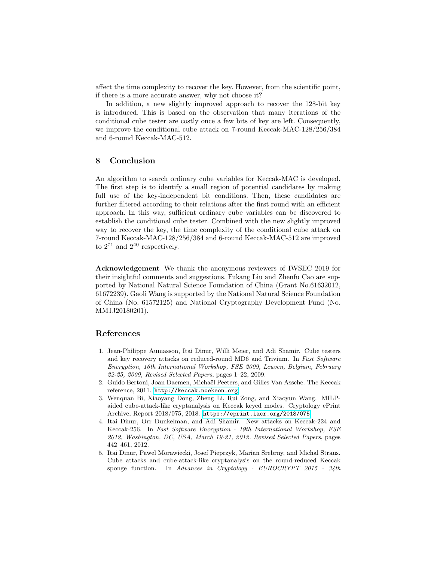affect the time complexity to recover the key. However, from the scientific point, if there is a more accurate answer, why not choose it?

In addition, a new slightly improved approach to recover the 128-bit key is introduced. This is based on the observation that many iterations of the conditional cube tester are costly once a few bits of key are left. Consequently, we improve the conditional cube attack on 7-round Keccak-MAC-128/256/384 and 6-round Keccak-MAC-512.

## <span id="page-17-5"></span>8 Conclusion

An algorithm to search ordinary cube variables for Keccak-MAC is developed. The first step is to identify a small region of potential candidates by making full use of the key-independent bit conditions. Then, these candidates are further filtered according to their relations after the first round with an efficient approach. In this way, sufficient ordinary cube variables can be discovered to establish the conditional cube tester. Combined with the new slightly improved way to recover the key, the time complexity of the conditional cube attack on 7-round Keccak-MAC-128/256/384 and 6-round Keccak-MAC-512 are improved to  $2^{71}$  and  $2^{40}$  respectively.

Acknowledgement We thank the anonymous reviewers of IWSEC 2019 for their insightful comments and suggestions. Fukang Liu and Zhenfu Cao are supported by National Natural Science Foundation of China (Grant No.61632012, 61672239). Gaoli Wang is supported by the National Natural Science Foundation of China (No. 61572125) and National Cryptography Development Fund (No. MMJJ20180201).

# References

- <span id="page-17-4"></span>1. Jean-Philippe Aumasson, Itai Dinur, Willi Meier, and Adi Shamir. Cube testers and key recovery attacks on reduced-round MD6 and Trivium. In Fast Software Encryption, 16th International Workshop, FSE 2009, Leuven, Belgium, February 22-25, 2009, Revised Selected Papers, pages 1–22, 2009.
- <span id="page-17-0"></span>2. Guido Bertoni, Joan Daemen, Michaël Peeters, and Gilles Van Assche. The Keccak reference, 2011. <http://keccak.noekeon.org>.
- <span id="page-17-2"></span>3. Wenquan Bi, Xiaoyang Dong, Zheng Li, Rui Zong, and Xiaoyun Wang. MILPaided cube-attack-like cryptanalysis on Keccak keyed modes. Cryptology ePrint Archive, Report 2018/075, 2018. <https://eprint.iacr.org/2018/075>.
- <span id="page-17-3"></span>4. Itai Dinur, Orr Dunkelman, and Adi Shamir. New attacks on Keccak-224 and Keccak-256. In Fast Software Encryption - 19th International Workshop, FSE 2012, Washington, DC, USA, March 19-21, 2012. Revised Selected Papers, pages 442–461, 2012.
- <span id="page-17-1"></span>5. Itai Dinur, Pawel Morawiecki, Josef Pieprzyk, Marian Srebrny, and Michal Straus. Cube attacks and cube-attack-like cryptanalysis on the round-reduced Keccak sponge function. In Advances in Cryptology - EUROCRYPT 2015 - 34th